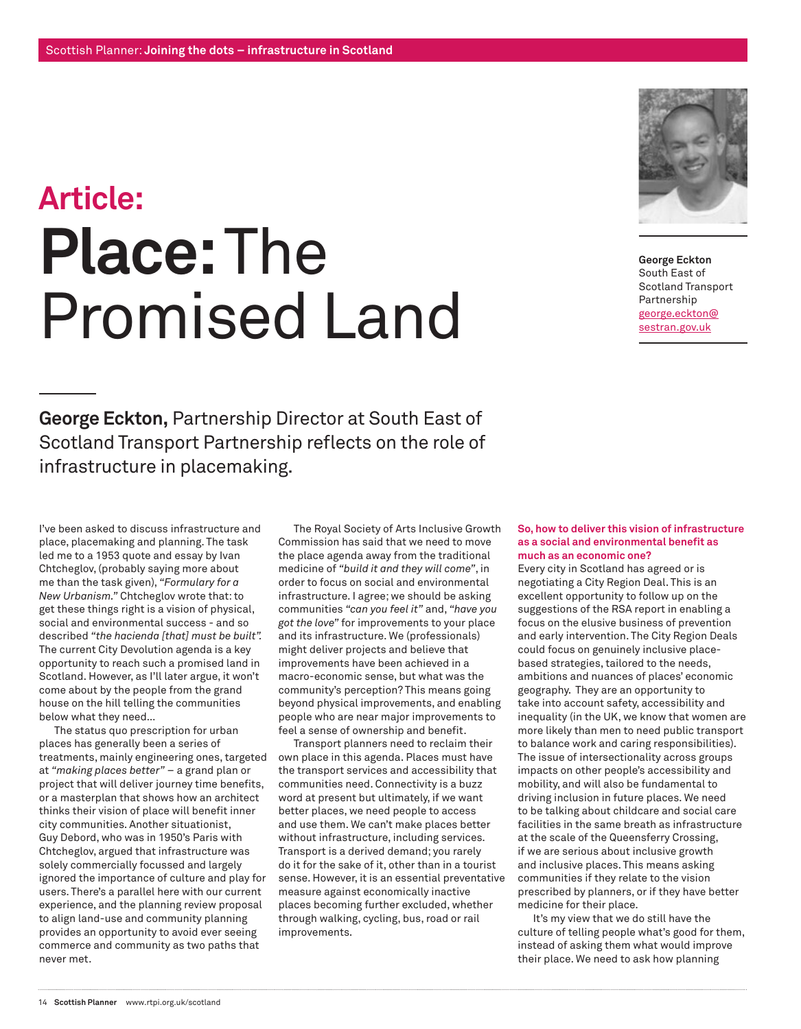## **Article: Place:** The Promised Land



**George Eckton**  South East of Scotland Transport Partnership george.eckton@ sestran.gov.uk

**George Eckton,** Partnership Director at South East of Scotland Transport Partnership reflects on the role of infrastructure in placemaking.

I've been asked to discuss infrastructure and place, placemaking and planning. The task led me to a 1953 quote and essay by Ivan Chtcheglov, (probably saying more about me than the task given), *"Formulary for a New Urbanism."* Chtcheglov wrote that: to get these things right is a vision of physical, social and environmental success - and so described *"the hacienda [that] must be built".*  The current City Devolution agenda is a key opportunity to reach such a promised land in Scotland. However, as I'll later argue, it won't come about by the people from the grand house on the hill telling the communities below what they need…

The status quo prescription for urban places has generally been a series of treatments, mainly engineering ones, targeted at *"making places better"* – a grand plan or project that will deliver journey time benefits, or a masterplan that shows how an architect thinks their vision of place will benefit inner city communities. Another situationist, Guy Debord, who was in 1950's Paris with Chtcheglov, argued that infrastructure was solely commercially focussed and largely ignored the importance of culture and play for users. There's a parallel here with our current experience, and the planning review proposal to align land-use and community planning provides an opportunity to avoid ever seeing commerce and community as two paths that never met.

The Royal Society of Arts Inclusive Growth Commission has said that we need to move the place agenda away from the traditional medicine of *"build it and they will come"*, in order to focus on social and environmental infrastructure. I agree; we should be asking communities *"can you feel it"* and, *"have you got the love"* for improvements to your place and its infrastructure. We (professionals) might deliver projects and believe that improvements have been achieved in a macro-economic sense, but what was the community's perception? This means going beyond physical improvements, and enabling people who are near major improvements to feel a sense of ownership and benefit.

Transport planners need to reclaim their own place in this agenda. Places must have the transport services and accessibility that communities need. Connectivity is a buzz word at present but ultimately, if we want better places, we need people to access and use them. We can't make places better without infrastructure, including services. Transport is a derived demand; you rarely do it for the sake of it, other than in a tourist sense. However, it is an essential preventative measure against economically inactive places becoming further excluded, whether through walking, cycling, bus, road or rail improvements.

## **So, how to deliver this vision of infrastructure as a social and environmental benefit as much as an economic one?**

Every city in Scotland has agreed or is negotiating a City Region Deal. This is an excellent opportunity to follow up on the suggestions of the RSA report in enabling a focus on the elusive business of prevention and early intervention. The City Region Deals could focus on genuinely inclusive placebased strategies, tailored to the needs, ambitions and nuances of places' economic geography. They are an opportunity to take into account safety, accessibility and inequality (in the UK, we know that women are more likely than men to need public transport to balance work and caring responsibilities). The issue of intersectionality across groups impacts on other people's accessibility and mobility, and will also be fundamental to driving inclusion in future places. We need to be talking about childcare and social care facilities in the same breath as infrastructure at the scale of the Queensferry Crossing, if we are serious about inclusive growth and inclusive places. This means asking communities if they relate to the vision prescribed by planners, or if they have better medicine for their place.

It's my view that we do still have the culture of telling people what's good for them, instead of asking them what would improve their place. We need to ask how planning